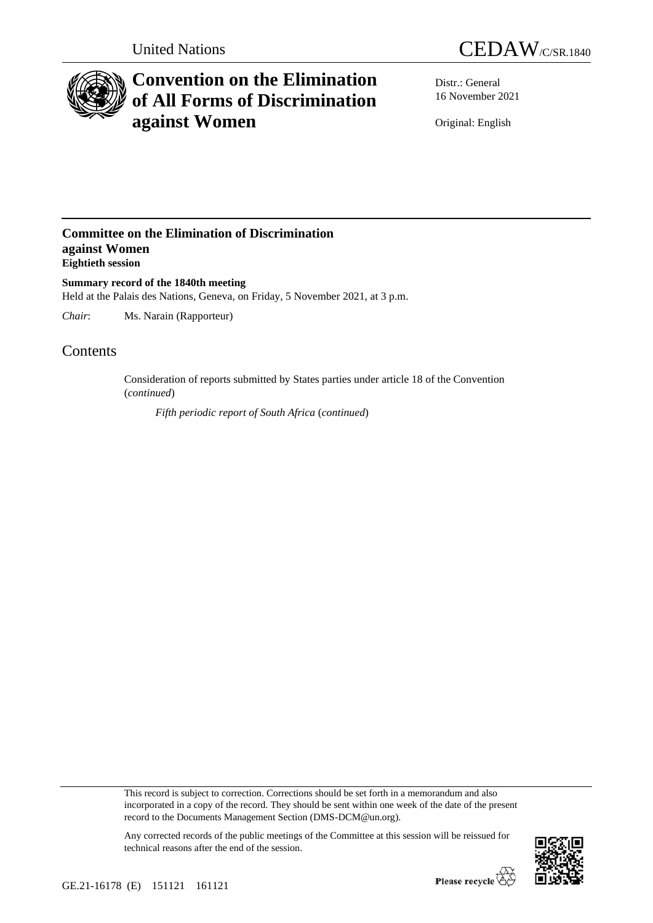



## **Convention on the Elimination of All Forms of Discrimination against Women**

Distr.: General 16 November 2021

Original: English

## **Committee on the Elimination of Discrimination against Women Eightieth session**

**Summary record of the 1840th meeting** Held at the Palais des Nations, Geneva, on Friday, 5 November 2021, at 3 p.m.

*Chair*: Ms. Narain (Rapporteur)

## **Contents**

Consideration of reports submitted by States parties under article 18 of the Convention (*continued*)

*Fifth periodic report of South Africa* (*continued*)

This record is subject to correction. Corrections should be set forth in a memorandum and also incorporated in a copy of the record. They should be sent within one week of the date of the present record to the Documents Management Section (DMS-DCM@un.org).



Any corrected records of the public meetings of the Committee at this session will be reissued for technical reasons after the end of the session.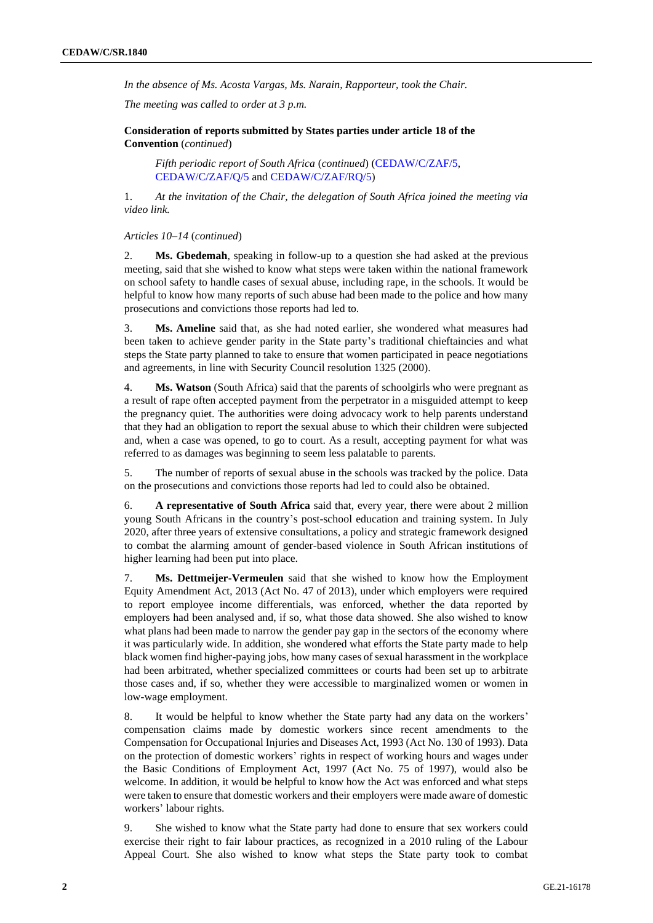*In the absence of Ms. Acosta Vargas, Ms. Narain, Rapporteur, took the Chair.*

*The meeting was called to order at 3 p.m.*

**Consideration of reports submitted by States parties under article 18 of the Convention** (*continued*)

*Fifth periodic report of South Africa* (*continued*) [\(CEDAW/C/ZAF/5,](https://undocs.org/en/CEDAW/C/ZAF/5) [CEDAW/C/ZAF/Q/5](https://undocs.org/en/CEDAW/C/ZAF/Q/5) an[d CEDAW/C/ZAF/RQ/5\)](https://undocs.org/en/CEDAW/C/ZAF/RQ/5)

1. *At the invitation of the Chair, the delegation of South Africa joined the meeting via video link.*

*Articles 10–14* (*continued*)

2. **Ms. Gbedemah**, speaking in follow-up to a question she had asked at the previous meeting, said that she wished to know what steps were taken within the national framework on school safety to handle cases of sexual abuse, including rape, in the schools. It would be helpful to know how many reports of such abuse had been made to the police and how many prosecutions and convictions those reports had led to.

3. **Ms. Ameline** said that, as she had noted earlier, she wondered what measures had been taken to achieve gender parity in the State party's traditional chieftaincies and what steps the State party planned to take to ensure that women participated in peace negotiations and agreements, in line with Security Council resolution 1325 (2000).

4. **Ms. Watson** (South Africa) said that the parents of schoolgirls who were pregnant as a result of rape often accepted payment from the perpetrator in a misguided attempt to keep the pregnancy quiet. The authorities were doing advocacy work to help parents understand that they had an obligation to report the sexual abuse to which their children were subjected and, when a case was opened, to go to court. As a result, accepting payment for what was referred to as damages was beginning to seem less palatable to parents.

5. The number of reports of sexual abuse in the schools was tracked by the police. Data on the prosecutions and convictions those reports had led to could also be obtained.

6. **A representative of South Africa** said that, every year, there were about 2 million young South Africans in the country's post-school education and training system. In July 2020, after three years of extensive consultations, a policy and strategic framework designed to combat the alarming amount of gender-based violence in South African institutions of higher learning had been put into place.

7. **Ms. Dettmeijer-Vermeulen** said that she wished to know how the Employment Equity Amendment Act, 2013 (Act No. 47 of 2013), under which employers were required to report employee income differentials, was enforced, whether the data reported by employers had been analysed and, if so, what those data showed. She also wished to know what plans had been made to narrow the gender pay gap in the sectors of the economy where it was particularly wide. In addition, she wondered what efforts the State party made to help black women find higher-paying jobs, how many cases of sexual harassment in the workplace had been arbitrated, whether specialized committees or courts had been set up to arbitrate those cases and, if so, whether they were accessible to marginalized women or women in low-wage employment.

8. It would be helpful to know whether the State party had any data on the workers' compensation claims made by domestic workers since recent amendments to the Compensation for Occupational Injuries and Diseases Act, 1993 (Act No. 130 of 1993). Data on the protection of domestic workers' rights in respect of working hours and wages under the Basic Conditions of Employment Act, 1997 (Act No. 75 of 1997), would also be welcome. In addition, it would be helpful to know how the Act was enforced and what steps were taken to ensure that domestic workers and their employers were made aware of domestic workers' labour rights.

9. She wished to know what the State party had done to ensure that sex workers could exercise their right to fair labour practices, as recognized in a 2010 ruling of the Labour Appeal Court. She also wished to know what steps the State party took to combat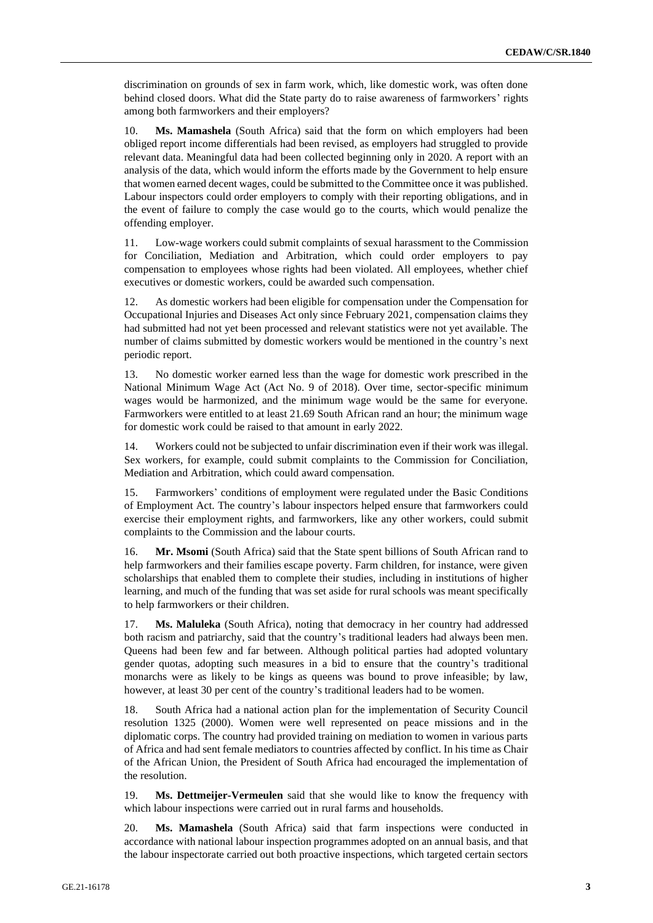discrimination on grounds of sex in farm work, which, like domestic work, was often done behind closed doors. What did the State party do to raise awareness of farmworkers' rights among both farmworkers and their employers?

10. **Ms. Mamashela** (South Africa) said that the form on which employers had been obliged report income differentials had been revised, as employers had struggled to provide relevant data. Meaningful data had been collected beginning only in 2020. A report with an analysis of the data, which would inform the efforts made by the Government to help ensure that women earned decent wages, could be submitted to the Committee once it was published. Labour inspectors could order employers to comply with their reporting obligations, and in the event of failure to comply the case would go to the courts, which would penalize the offending employer.

11. Low-wage workers could submit complaints of sexual harassment to the Commission for Conciliation, Mediation and Arbitration, which could order employers to pay compensation to employees whose rights had been violated. All employees, whether chief executives or domestic workers, could be awarded such compensation.

12. As domestic workers had been eligible for compensation under the Compensation for Occupational Injuries and Diseases Act only since February 2021, compensation claims they had submitted had not yet been processed and relevant statistics were not yet available. The number of claims submitted by domestic workers would be mentioned in the country's next periodic report.

13. No domestic worker earned less than the wage for domestic work prescribed in the National Minimum Wage Act (Act No. 9 of 2018). Over time, sector-specific minimum wages would be harmonized, and the minimum wage would be the same for everyone. Farmworkers were entitled to at least 21.69 South African rand an hour; the minimum wage for domestic work could be raised to that amount in early 2022.

14. Workers could not be subjected to unfair discrimination even if their work was illegal. Sex workers, for example, could submit complaints to the Commission for Conciliation, Mediation and Arbitration, which could award compensation.

15. Farmworkers' conditions of employment were regulated under the Basic Conditions of Employment Act. The country's labour inspectors helped ensure that farmworkers could exercise their employment rights, and farmworkers, like any other workers, could submit complaints to the Commission and the labour courts.

16. **Mr. Msomi** (South Africa) said that the State spent billions of South African rand to help farmworkers and their families escape poverty. Farm children, for instance, were given scholarships that enabled them to complete their studies, including in institutions of higher learning, and much of the funding that was set aside for rural schools was meant specifically to help farmworkers or their children.

17. **Ms. Maluleka** (South Africa), noting that democracy in her country had addressed both racism and patriarchy, said that the country's traditional leaders had always been men. Queens had been few and far between. Although political parties had adopted voluntary gender quotas, adopting such measures in a bid to ensure that the country's traditional monarchs were as likely to be kings as queens was bound to prove infeasible; by law, however, at least 30 per cent of the country's traditional leaders had to be women.

18. South Africa had a national action plan for the implementation of Security Council resolution 1325 (2000). Women were well represented on peace missions and in the diplomatic corps. The country had provided training on mediation to women in various parts of Africa and had sent female mediators to countries affected by conflict. In his time as Chair of the African Union, the President of South Africa had encouraged the implementation of the resolution.

19. **Ms. Dettmeijer-Vermeulen** said that she would like to know the frequency with which labour inspections were carried out in rural farms and households.

20. **Ms. Mamashela** (South Africa) said that farm inspections were conducted in accordance with national labour inspection programmes adopted on an annual basis, and that the labour inspectorate carried out both proactive inspections, which targeted certain sectors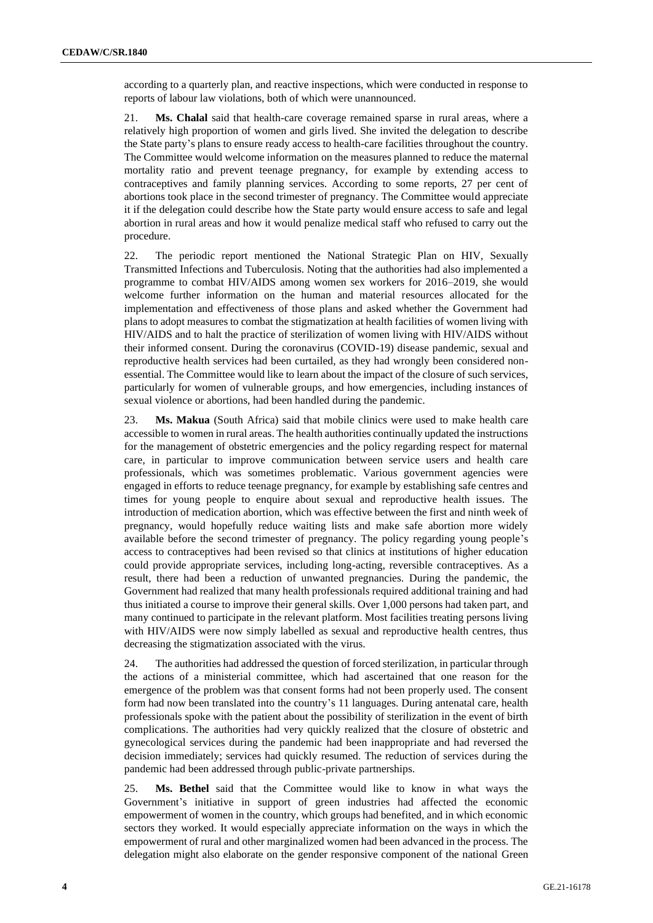according to a quarterly plan, and reactive inspections, which were conducted in response to reports of labour law violations, both of which were unannounced.

21. **Ms. Chalal** said that health-care coverage remained sparse in rural areas, where a relatively high proportion of women and girls lived. She invited the delegation to describe the State party's plans to ensure ready access to health-care facilities throughout the country. The Committee would welcome information on the measures planned to reduce the maternal mortality ratio and prevent teenage pregnancy, for example by extending access to contraceptives and family planning services. According to some reports, 27 per cent of abortions took place in the second trimester of pregnancy. The Committee would appreciate it if the delegation could describe how the State party would ensure access to safe and legal abortion in rural areas and how it would penalize medical staff who refused to carry out the procedure.

22. The periodic report mentioned the National Strategic Plan on HIV, Sexually Transmitted Infections and Tuberculosis. Noting that the authorities had also implemented a programme to combat HIV/AIDS among women sex workers for 2016–2019, she would welcome further information on the human and material resources allocated for the implementation and effectiveness of those plans and asked whether the Government had plans to adopt measures to combat the stigmatization at health facilities of women living with HIV/AIDS and to halt the practice of sterilization of women living with HIV/AIDS without their informed consent. During the coronavirus (COVID-19) disease pandemic, sexual and reproductive health services had been curtailed, as they had wrongly been considered nonessential. The Committee would like to learn about the impact of the closure of such services, particularly for women of vulnerable groups, and how emergencies, including instances of sexual violence or abortions, had been handled during the pandemic.

23. **Ms. Makua** (South Africa) said that mobile clinics were used to make health care accessible to women in rural areas. The health authorities continually updated the instructions for the management of obstetric emergencies and the policy regarding respect for maternal care, in particular to improve communication between service users and health care professionals, which was sometimes problematic. Various government agencies were engaged in efforts to reduce teenage pregnancy, for example by establishing safe centres and times for young people to enquire about sexual and reproductive health issues. The introduction of medication abortion, which was effective between the first and ninth week of pregnancy, would hopefully reduce waiting lists and make safe abortion more widely available before the second trimester of pregnancy. The policy regarding young people's access to contraceptives had been revised so that clinics at institutions of higher education could provide appropriate services, including long-acting, reversible contraceptives. As a result, there had been a reduction of unwanted pregnancies. During the pandemic, the Government had realized that many health professionals required additional training and had thus initiated a course to improve their general skills. Over 1,000 persons had taken part, and many continued to participate in the relevant platform. Most facilities treating persons living with HIV/AIDS were now simply labelled as sexual and reproductive health centres, thus decreasing the stigmatization associated with the virus.

24. The authorities had addressed the question of forced sterilization, in particular through the actions of a ministerial committee, which had ascertained that one reason for the emergence of the problem was that consent forms had not been properly used. The consent form had now been translated into the country's 11 languages. During antenatal care, health professionals spoke with the patient about the possibility of sterilization in the event of birth complications. The authorities had very quickly realized that the closure of obstetric and gynecological services during the pandemic had been inappropriate and had reversed the decision immediately; services had quickly resumed. The reduction of services during the pandemic had been addressed through public-private partnerships.

25. **Ms. Bethel** said that the Committee would like to know in what ways the Government's initiative in support of green industries had affected the economic empowerment of women in the country, which groups had benefited, and in which economic sectors they worked. It would especially appreciate information on the ways in which the empowerment of rural and other marginalized women had been advanced in the process. The delegation might also elaborate on the gender responsive component of the national Green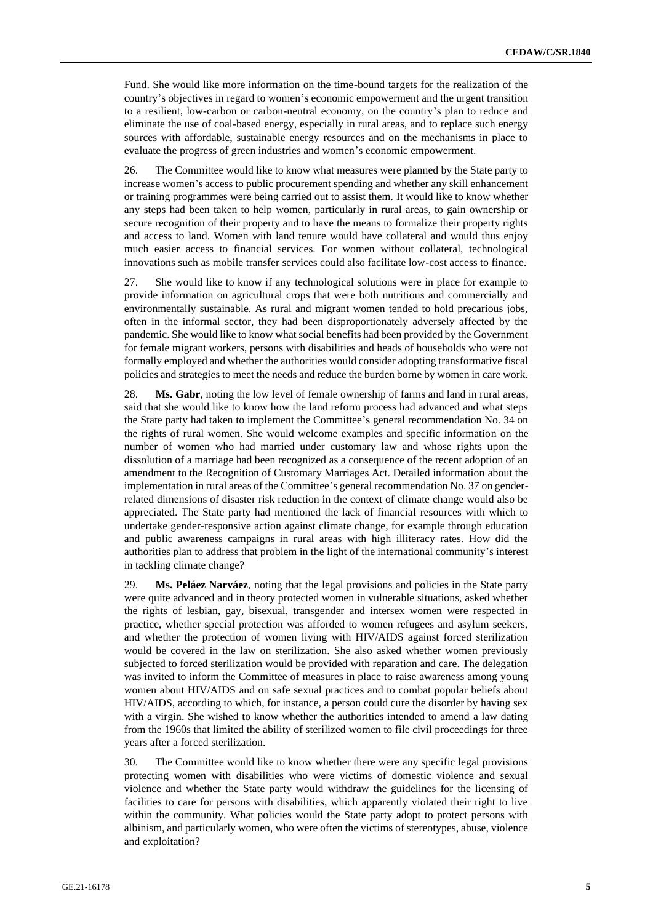Fund. She would like more information on the time-bound targets for the realization of the country's objectives in regard to women's economic empowerment and the urgent transition to a resilient, low-carbon or carbon-neutral economy, on the country's plan to reduce and eliminate the use of coal-based energy, especially in rural areas, and to replace such energy sources with affordable, sustainable energy resources and on the mechanisms in place to evaluate the progress of green industries and women's economic empowerment.

26. The Committee would like to know what measures were planned by the State party to increase women's access to public procurement spending and whether any skill enhancement or training programmes were being carried out to assist them. It would like to know whether any steps had been taken to help women, particularly in rural areas, to gain ownership or secure recognition of their property and to have the means to formalize their property rights and access to land. Women with land tenure would have collateral and would thus enjoy much easier access to financial services. For women without collateral, technological innovations such as mobile transfer services could also facilitate low-cost access to finance.

27. She would like to know if any technological solutions were in place for example to provide information on agricultural crops that were both nutritious and commercially and environmentally sustainable. As rural and migrant women tended to hold precarious jobs, often in the informal sector, they had been disproportionately adversely affected by the pandemic. She would like to know what social benefits had been provided by the Government for female migrant workers, persons with disabilities and heads of households who were not formally employed and whether the authorities would consider adopting transformative fiscal policies and strategies to meet the needs and reduce the burden borne by women in care work.

28. **Ms. Gabr**, noting the low level of female ownership of farms and land in rural areas, said that she would like to know how the land reform process had advanced and what steps the State party had taken to implement the Committee's general recommendation No. 34 on the rights of rural women. She would welcome examples and specific information on the number of women who had married under customary law and whose rights upon the dissolution of a marriage had been recognized as a consequence of the recent adoption of an amendment to the Recognition of Customary Marriages Act. Detailed information about the implementation in rural areas of the Committee's general recommendation No. 37 on genderrelated dimensions of disaster risk reduction in the context of climate change would also be appreciated. The State party had mentioned the lack of financial resources with which to undertake gender-responsive action against climate change, for example through education and public awareness campaigns in rural areas with high illiteracy rates. How did the authorities plan to address that problem in the light of the international community's interest in tackling climate change?

29. **Ms. Peláez Narváez**, noting that the legal provisions and policies in the State party were quite advanced and in theory protected women in vulnerable situations, asked whether the rights of lesbian, gay, bisexual, transgender and intersex women were respected in practice, whether special protection was afforded to women refugees and asylum seekers, and whether the protection of women living with HIV/AIDS against forced sterilization would be covered in the law on sterilization. She also asked whether women previously subjected to forced sterilization would be provided with reparation and care. The delegation was invited to inform the Committee of measures in place to raise awareness among young women about HIV/AIDS and on safe sexual practices and to combat popular beliefs about HIV/AIDS, according to which, for instance, a person could cure the disorder by having sex with a virgin. She wished to know whether the authorities intended to amend a law dating from the 1960s that limited the ability of sterilized women to file civil proceedings for three years after a forced sterilization.

30. The Committee would like to know whether there were any specific legal provisions protecting women with disabilities who were victims of domestic violence and sexual violence and whether the State party would withdraw the guidelines for the licensing of facilities to care for persons with disabilities, which apparently violated their right to live within the community. What policies would the State party adopt to protect persons with albinism, and particularly women, who were often the victims of stereotypes, abuse, violence and exploitation?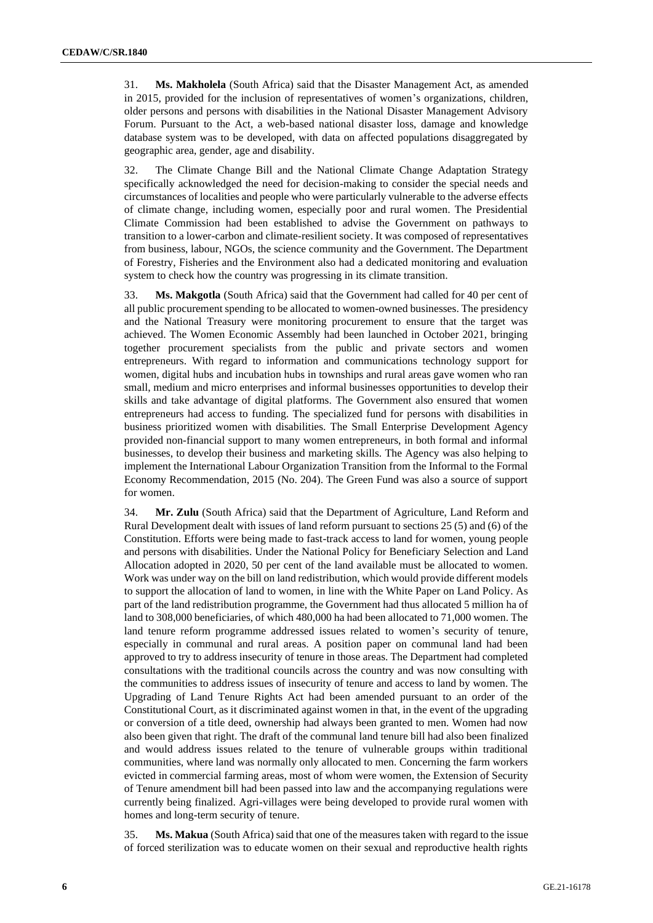31. **Ms. Makholela** (South Africa) said that the Disaster Management Act, as amended in 2015, provided for the inclusion of representatives of women's organizations, children, older persons and persons with disabilities in the National Disaster Management Advisory Forum. Pursuant to the Act, a web-based national disaster loss, damage and knowledge database system was to be developed, with data on affected populations disaggregated by geographic area, gender, age and disability.

32. The Climate Change Bill and the National Climate Change Adaptation Strategy specifically acknowledged the need for decision-making to consider the special needs and circumstances of localities and people who were particularly vulnerable to the adverse effects of climate change, including women, especially poor and rural women. The Presidential Climate Commission had been established to advise the Government on pathways to transition to a lower-carbon and climate-resilient society. It was composed of representatives from business, labour, NGOs, the science community and the Government. The Department of Forestry, Fisheries and the Environment also had a dedicated monitoring and evaluation system to check how the country was progressing in its climate transition.

33. **Ms. Makgotla** (South Africa) said that the Government had called for 40 per cent of all public procurement spending to be allocated to women-owned businesses. The presidency and the National Treasury were monitoring procurement to ensure that the target was achieved. The Women Economic Assembly had been launched in October 2021, bringing together procurement specialists from the public and private sectors and women entrepreneurs. With regard to information and communications technology support for women, digital hubs and incubation hubs in townships and rural areas gave women who ran small, medium and micro enterprises and informal businesses opportunities to develop their skills and take advantage of digital platforms. The Government also ensured that women entrepreneurs had access to funding. The specialized fund for persons with disabilities in business prioritized women with disabilities. The Small Enterprise Development Agency provided non-financial support to many women entrepreneurs, in both formal and informal businesses, to develop their business and marketing skills. The Agency was also helping to implement the International Labour Organization Transition from the Informal to the Formal Economy Recommendation, 2015 (No. 204). The Green Fund was also a source of support for women.

34. **Mr. Zulu** (South Africa) said that the Department of Agriculture, Land Reform and Rural Development dealt with issues of land reform pursuant to sections 25 (5) and (6) of the Constitution. Efforts were being made to fast-track access to land for women, young people and persons with disabilities. Under the National Policy for Beneficiary Selection and Land Allocation adopted in 2020, 50 per cent of the land available must be allocated to women. Work was under way on the bill on land redistribution, which would provide different models to support the allocation of land to women, in line with the White Paper on Land Policy. As part of the land redistribution programme, the Government had thus allocated 5 million ha of land to 308,000 beneficiaries, of which 480,000 ha had been allocated to 71,000 women. The land tenure reform programme addressed issues related to women's security of tenure, especially in communal and rural areas. A position paper on communal land had been approved to try to address insecurity of tenure in those areas. The Department had completed consultations with the traditional councils across the country and was now consulting with the communities to address issues of insecurity of tenure and access to land by women. The Upgrading of Land Tenure Rights Act had been amended pursuant to an order of the Constitutional Court, as it discriminated against women in that, in the event of the upgrading or conversion of a title deed, ownership had always been granted to men. Women had now also been given that right. The draft of the communal land tenure bill had also been finalized and would address issues related to the tenure of vulnerable groups within traditional communities, where land was normally only allocated to men. Concerning the farm workers evicted in commercial farming areas, most of whom were women, the Extension of Security of Tenure amendment bill had been passed into law and the accompanying regulations were currently being finalized. Agri-villages were being developed to provide rural women with homes and long-term security of tenure.

35. **Ms. Makua** (South Africa) said that one of the measures taken with regard to the issue of forced sterilization was to educate women on their sexual and reproductive health rights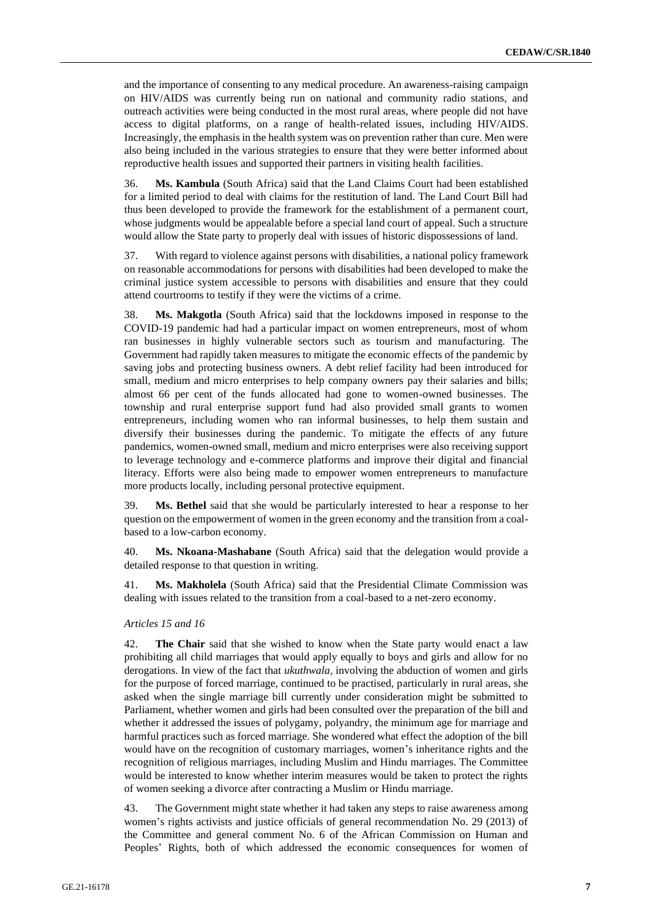and the importance of consenting to any medical procedure. An awareness-raising campaign on HIV/AIDS was currently being run on national and community radio stations, and outreach activities were being conducted in the most rural areas, where people did not have access to digital platforms, on a range of health-related issues, including HIV/AIDS. Increasingly, the emphasis in the health system was on prevention rather than cure. Men were also being included in the various strategies to ensure that they were better informed about reproductive health issues and supported their partners in visiting health facilities.

36. **Ms. Kambula** (South Africa) said that the Land Claims Court had been established for a limited period to deal with claims for the restitution of land. The Land Court Bill had thus been developed to provide the framework for the establishment of a permanent court, whose judgments would be appealable before a special land court of appeal. Such a structure would allow the State party to properly deal with issues of historic dispossessions of land.

37. With regard to violence against persons with disabilities, a national policy framework on reasonable accommodations for persons with disabilities had been developed to make the criminal justice system accessible to persons with disabilities and ensure that they could attend courtrooms to testify if they were the victims of a crime.

38. **Ms. Makgotla** (South Africa) said that the lockdowns imposed in response to the COVID-19 pandemic had had a particular impact on women entrepreneurs, most of whom ran businesses in highly vulnerable sectors such as tourism and manufacturing. The Government had rapidly taken measures to mitigate the economic effects of the pandemic by saving jobs and protecting business owners. A debt relief facility had been introduced for small, medium and micro enterprises to help company owners pay their salaries and bills; almost 66 per cent of the funds allocated had gone to women-owned businesses. The township and rural enterprise support fund had also provided small grants to women entrepreneurs, including women who ran informal businesses, to help them sustain and diversify their businesses during the pandemic. To mitigate the effects of any future pandemics, women-owned small, medium and micro enterprises were also receiving support to leverage technology and e-commerce platforms and improve their digital and financial literacy. Efforts were also being made to empower women entrepreneurs to manufacture more products locally, including personal protective equipment.

39. **Ms. Bethel** said that she would be particularly interested to hear a response to her question on the empowerment of women in the green economy and the transition from a coalbased to a low-carbon economy.

40. **Ms. Nkoana-Mashabane** (South Africa) said that the delegation would provide a detailed response to that question in writing.

41. **Ms. Makholela** (South Africa) said that the Presidential Climate Commission was dealing with issues related to the transition from a coal-based to a net-zero economy.

## *Articles 15 and 16*

42. **The Chair** said that she wished to know when the State party would enact a law prohibiting all child marriages that would apply equally to boys and girls and allow for no derogations. In view of the fact that *ukuthwala*, involving the abduction of women and girls for the purpose of forced marriage, continued to be practised, particularly in rural areas, she asked when the single marriage bill currently under consideration might be submitted to Parliament, whether women and girls had been consulted over the preparation of the bill and whether it addressed the issues of polygamy, polyandry, the minimum age for marriage and harmful practices such as forced marriage. She wondered what effect the adoption of the bill would have on the recognition of customary marriages, women's inheritance rights and the recognition of religious marriages, including Muslim and Hindu marriages. The Committee would be interested to know whether interim measures would be taken to protect the rights of women seeking a divorce after contracting a Muslim or Hindu marriage.

43. The Government might state whether it had taken any steps to raise awareness among women's rights activists and justice officials of general recommendation No. 29 (2013) of the Committee and general comment No. 6 of the African Commission on Human and Peoples' Rights, both of which addressed the economic consequences for women of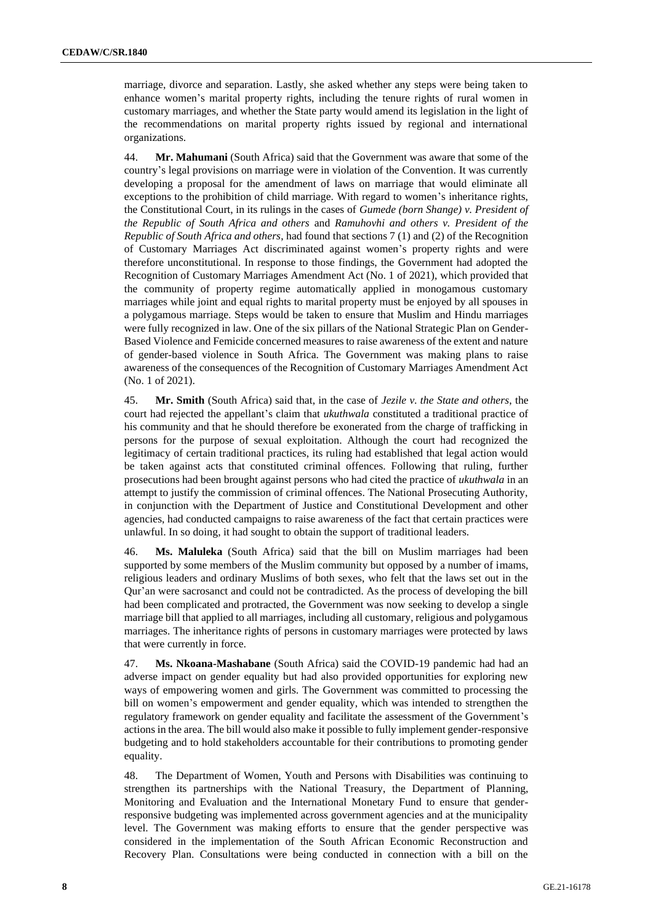marriage, divorce and separation. Lastly, she asked whether any steps were being taken to enhance women's marital property rights, including the tenure rights of rural women in customary marriages, and whether the State party would amend its legislation in the light of the recommendations on marital property rights issued by regional and international organizations.

44. **Mr. Mahumani** (South Africa) said that the Government was aware that some of the country's legal provisions on marriage were in violation of the Convention. It was currently developing a proposal for the amendment of laws on marriage that would eliminate all exceptions to the prohibition of child marriage. With regard to women's inheritance rights, the Constitutional Court, in its rulings in the cases of *Gumede (born Shange) v. President of the Republic of South Africa and others* and *Ramuhovhi and others v. President of the Republic of South Africa and others*, had found that sections 7 (1) and (2) of the Recognition of Customary Marriages Act discriminated against women's property rights and were therefore unconstitutional. In response to those findings, the Government had adopted the Recognition of Customary Marriages Amendment Act (No. 1 of 2021), which provided that the community of property regime automatically applied in monogamous customary marriages while joint and equal rights to marital property must be enjoyed by all spouses in a polygamous marriage. Steps would be taken to ensure that Muslim and Hindu marriages were fully recognized in law. One of the six pillars of the National Strategic Plan on Gender-Based Violence and Femicide concerned measures to raise awareness of the extent and nature of gender-based violence in South Africa. The Government was making plans to raise awareness of the consequences of the Recognition of Customary Marriages Amendment Act (No. 1 of 2021).

45. **Mr. Smith** (South Africa) said that, in the case of *Jezile v. the State and others*, the court had rejected the appellant's claim that *ukuthwala* constituted a traditional practice of his community and that he should therefore be exonerated from the charge of trafficking in persons for the purpose of sexual exploitation. Although the court had recognized the legitimacy of certain traditional practices, its ruling had established that legal action would be taken against acts that constituted criminal offences. Following that ruling, further prosecutions had been brought against persons who had cited the practice of *ukuthwala* in an attempt to justify the commission of criminal offences. The National Prosecuting Authority, in conjunction with the Department of Justice and Constitutional Development and other agencies, had conducted campaigns to raise awareness of the fact that certain practices were unlawful. In so doing, it had sought to obtain the support of traditional leaders.

46. **Ms. Maluleka** (South Africa) said that the bill on Muslim marriages had been supported by some members of the Muslim community but opposed by a number of imams, religious leaders and ordinary Muslims of both sexes, who felt that the laws set out in the Qur'an were sacrosanct and could not be contradicted. As the process of developing the bill had been complicated and protracted, the Government was now seeking to develop a single marriage bill that applied to all marriages, including all customary, religious and polygamous marriages. The inheritance rights of persons in customary marriages were protected by laws that were currently in force.

47. **Ms. Nkoana-Mashabane** (South Africa) said the COVID-19 pandemic had had an adverse impact on gender equality but had also provided opportunities for exploring new ways of empowering women and girls. The Government was committed to processing the bill on women's empowerment and gender equality, which was intended to strengthen the regulatory framework on gender equality and facilitate the assessment of the Government's actions in the area. The bill would also make it possible to fully implement gender-responsive budgeting and to hold stakeholders accountable for their contributions to promoting gender equality.

48. The Department of Women, Youth and Persons with Disabilities was continuing to strengthen its partnerships with the National Treasury, the Department of Planning, Monitoring and Evaluation and the International Monetary Fund to ensure that genderresponsive budgeting was implemented across government agencies and at the municipality level. The Government was making efforts to ensure that the gender perspective was considered in the implementation of the South African Economic Reconstruction and Recovery Plan. Consultations were being conducted in connection with a bill on the